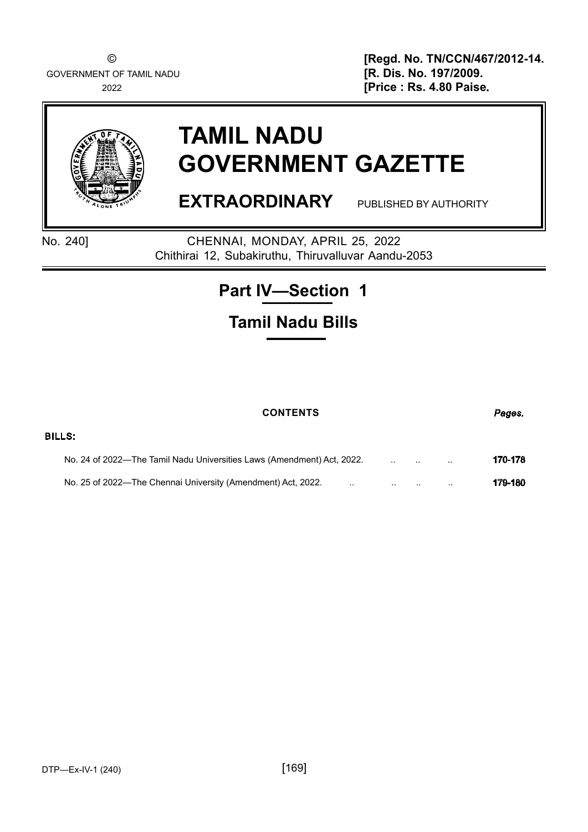GOVERNMENT OF TAMIL NADU **[R. Dis. No. 197/2009.**

© **[Regd. No. TN/CCN/467/2012-14.**<br>T OF TAMIL NADU **General Contract Contract Contract Contract Contract Contract Contract Contract Contract Contr** 2022 **[Price : Rs. 4.80 Paise**.



# **TAMIL NADU GOVERNMENT GAZETTE**

**EXTRAORDINARY** PUBLISHED BY AUTHORITY

BILLS:

No. 240] CHENNAI, MONDAY, APRIL 25, 2022 Chithirai 12, Subakiruthu, Thiruvalluvar Aandu-2053

# **Part IV—Section 1**

# **Tamil Nadu Bills**

# **CONTENTS** *Pages.*

| No. 24 of 2022—The Tamil Nadu Universities Laws (Amendment) Act, 2022. |  | 170-178 |
|------------------------------------------------------------------------|--|---------|
| No. 25 of 2022—The Chennai University (Amendment) Act, 2022.           |  | 179-180 |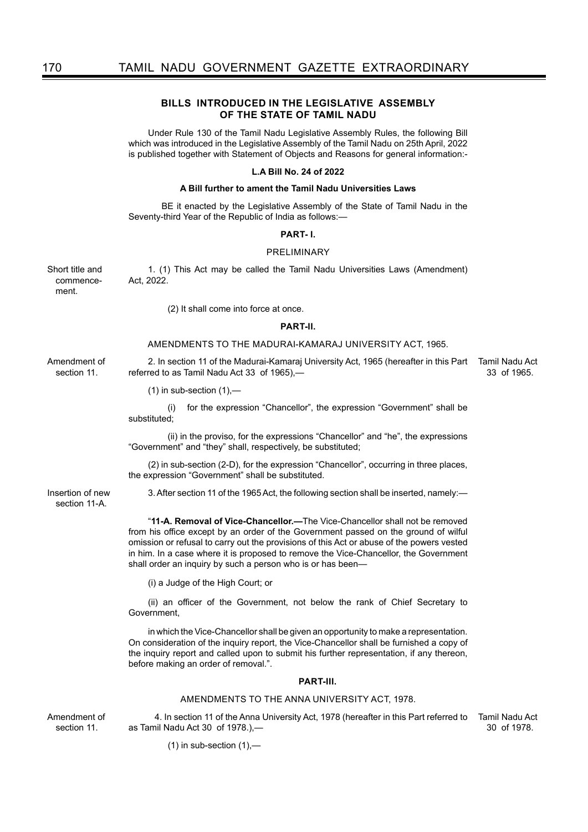## **BILLS****INTRODUCED IN THE LEGISLATIVE ASSEMBLY OF THE STATE OF TAMIL NADU**

Under Rule 130 of the Tamil Nadu Legislative Assembly Rules, the following Bill which was introduced in the Legislative Assembly of the Tamil Nadu on 25th April, 2022 is published together with Statement of Objects and Reasons for general information:-

#### **L.A Bill No. 24 of 2022**

#### **A Bill further to ament the Tamil Nadu Universities Laws**

 BE it enacted by the Legislative Assembly of the State of Tamil Nadu in the Seventy-third Year of the Republic of India as follows:—

#### **PART- I.**

#### PRELIMINARY

Short title and commencement. 1. (1) This Act may be called the Tamil Nadu Universities Laws (Amendment) Act, 2022.

(2) It shall come into force at once.

#### **PART-II.**

#### AMENDMENTS TO THE MADURAI-KAMARAJ UNIVERSITY ACT, 1965.

2. In section 11 of the Madurai-Kamaraj University Act, 1965 (hereafter in this Part Tamil Nadu Act referred to as Tamil Nadu Act 33 of 1965),—

33 of 1965.

 $(1)$  in sub-section  $(1)$ ,—

(i) for the expression "Chancellor", the expression "Government" shall be substituted;

(ii) in the proviso, for the expressions "Chancellor" and "he", the expressions "Government" and "they" shall, respectively, be substituted;

(2) in sub-section (2-D), for the expression "Chancellor", occurring in three places, the expression "Government" shall be substituted.

3. After section 11 of the 1965 Act, the following section shall be inserted, namely:—

"**11-A. Removal of Vice-Chancellor.—**The Vice-Chancellor shall not be removed from his office except by an order of the Government passed on the ground of wilful omission or refusal to carry out the provisions of this Act or abuse of the powers vested in him. In a case where it is proposed to remove the Vice-Chancellor, the Government shall order an inquiry by such a person who is or has been—

(i) a Judge of the High Court; or

(ii) an officer of the Government, not below the rank of Chief Secretary to Government,

in which the Vice-Chancellor shall be given an opportunity to make a representation. On consideration of the inquiry report, the Vice-Chancellor shall be furnished a copy of the inquiry report and called upon to submit his further representation, if any thereon, before making an order of removal.".

#### **PART-III.**

#### AMENDMENTS TO THE ANNA UNIVERSITY ACT, 1978.

Amendment of section 11.

 4. In section 11 of the Anna University Act, 1978 (hereafter in this Part referred to as Tamil Nadu Act 30 of 1978.),— Tamil Nadu Act 30 of 1978.

 $(1)$  in sub-section  $(1)$ ,—

Amendment of section 11.

Insertion of new section 11-A.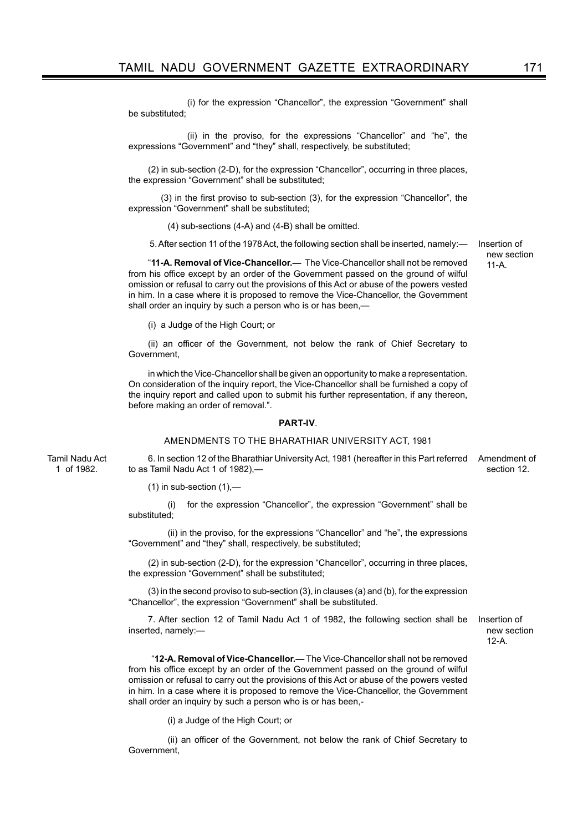(i) for the expression "Chancellor", the expression "Government" shall be substituted;

 (ii) in the proviso, for the expressions "Chancellor" and "he", the expressions "Government" and "they" shall, respectively, be substituted;

(2) in sub-section (2-D), for the expression "Chancellor", occurring in three places, the expression "Government" shall be substituted;

 (3) in the first proviso to sub-section (3), for the expression "Chancellor", the expression "Government" shall be substituted;

(4) sub-sections (4-A) and (4-B) shall be omitted.

5. After section 11 of the 1978 Act, the following section shall be inserted, namely:—

"**11-A. Removal of Vice-Chancellor.—** The Vice-Chancellor shall not be removed from his office except by an order of the Government passed on the ground of wilful omission or refusal to carry out the provisions of this Act or abuse of the powers vested in him. In a case where it is proposed to remove the Vice-Chancellor, the Government shall order an inquiry by such a person who is or has been,—

(i) a Judge of the High Court; or

(ii) an officer of the Government, not below the rank of Chief Secretary to Government,

in which the Vice-Chancellor shall be given an opportunity to make a representation. On consideration of the inquiry report, the Vice-Chancellor shall be furnished a copy of the inquiry report and called upon to submit his further representation, if any thereon, before making an order of removal.".

#### **PART-IV**.

#### AMENDMENTS TO THE BHARATHIAR UNIVERSITY ACT, 1981

Tamil Nadu Act 1 of 1982. 6. In section 12 of the Bharathiar University Act, 1981 (hereafter in this Part referred Amendment of to as Tamil Nadu Act 1 of 1982), section 12.

 $(1)$  in sub-section  $(1)$ ,—

(i) for the expression "Chancellor", the expression "Government" shall be substituted;

(ii) in the proviso, for the expressions "Chancellor" and "he", the expressions "Government" and "they" shall, respectively, be substituted;

(2) in sub-section (2-D), for the expression "Chancellor", occurring in three places, the expression "Government" shall be substituted;

(3) in the second proviso to sub-section (3), in clauses (a) and (b), for the expression "Chancellor", the expression "Government" shall be substituted.

7. After section 12 of Tamil Nadu Act 1 of 1982, the following section shall be inserted, namely:—

Insertion of new section 12-A.

 "**12-A. Removal of Vice-Chancellor.—** The Vice-Chancellor shall not be removed from his office except by an order of the Government passed on the ground of wilful omission or refusal to carry out the provisions of this Act or abuse of the powers vested in him. In a case where it is proposed to remove the Vice-Chancellor, the Government shall order an inquiry by such a person who is or has been,-

(i) a Judge of the High Court; or

(ii) an officer of the Government, not below the rank of Chief Secretary to Government,

Insertion of new section  $11 - \Delta$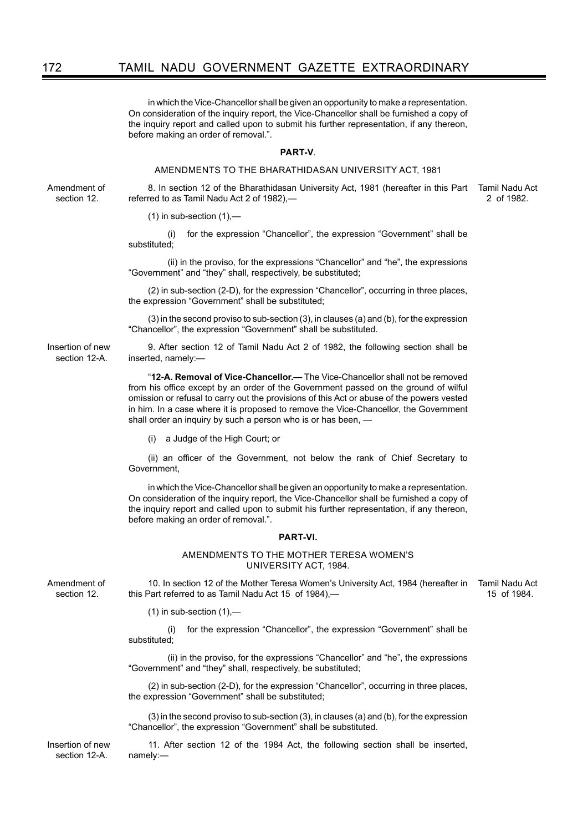in which the Vice-Chancellor shall be given an opportunity to make a representation. On consideration of the inquiry report, the Vice-Chancellor shall be furnished a copy of the inquiry report and called upon to submit his further representation, if any thereon, before making an order of removal.".

#### **PART-V**.

#### AMENDMENTS TO THE BHARATHIDASAN UNIVERSITY ACT, 1981

Amendment of section 12.

8. In section 12 of the Bharathidasan University Act, 1981 (hereafter in this Part referred to as Tamil Nadu Act 2 of 1982),— Tamil Nadu Act

2 of 1982.

 $(1)$  in sub-section  $(1)$ ,—

(i) for the expression "Chancellor", the expression "Government" shall be substituted:

(ii) in the proviso, for the expressions "Chancellor" and "he", the expressions "Government" and "they" shall, respectively, be substituted;

(2) in sub-section (2-D), for the expression "Chancellor", occurring in three places, the expression "Government" shall be substituted;

(3) in the second proviso to sub-section (3), in clauses (a) and (b), for the expression "Chancellor", the expression "Government" shall be substituted.

Insertion of new section 12-A. 9. After section 12 of Tamil Nadu Act 2 of 1982, the following section shall be inserted, namely:—

> "**12-A. Removal of Vice-Chancellor.—** The Vice-Chancellor shall not be removed from his office except by an order of the Government passed on the ground of wilful omission or refusal to carry out the provisions of this Act or abuse of the powers vested in him. In a case where it is proposed to remove the Vice-Chancellor, the Government shall order an inquiry by such a person who is or has been, —

(i) a Judge of the High Court; or

(ii) an officer of the Government, not below the rank of Chief Secretary to Government,

in which the Vice-Chancellor shall be given an opportunity to make a representation. On consideration of the inquiry report, the Vice-Chancellor shall be furnished a copy of the inquiry report and called upon to submit his further representation, if any thereon, before making an order of removal.".

#### **PART-VI.**

#### AMENDMENTS TO THE MOTHER TERESA WOMEN'S UNIVERSITY ACT, 1984.

Amendment of section 12.

10. In section 12 of the Mother Teresa Women's University Act, 1984 (hereafter in this Part referred to as Tamil Nadu Act 15 of 1984),— Tamil Nadu Act 15 of 1984.

 $(1)$  in sub-section  $(1)$ ,—

(i) for the expression "Chancellor", the expression "Government" shall be substituted;

(ii) in the proviso, for the expressions "Chancellor" and "he", the expressions "Government" and "they" shall, respectively, be substituted;

(2) in sub-section (2-D), for the expression "Chancellor", occurring in three places, the expression "Government" shall be substituted;

(3) in the second proviso to sub-section (3), in clauses (a) and (b), for the expression "Chancellor", the expression "Government" shall be substituted.

11. After section 12 of the 1984 Act, the following section shall be inserted, namely:—

Insertion of new section 12-A.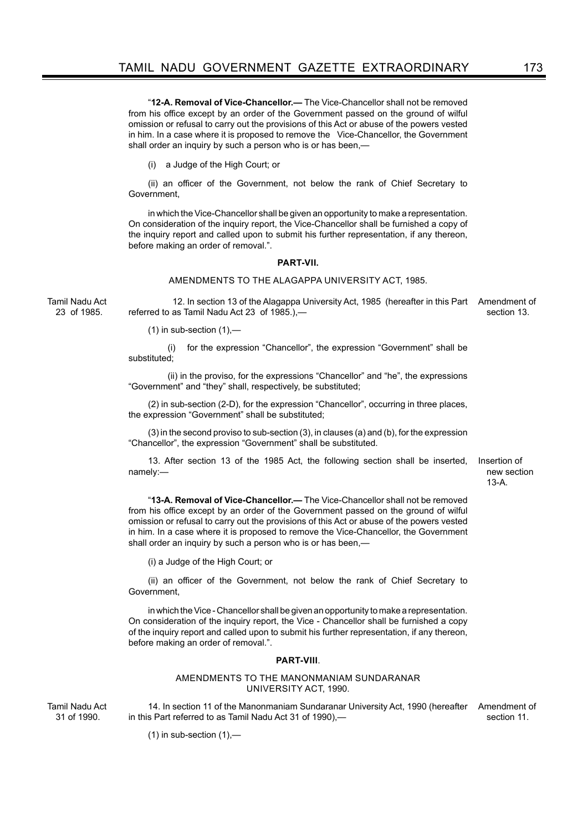"**12-A. Removal of Vice-Chancellor.—** The Vice-Chancellor shall not be removed from his office except by an order of the Government passed on the ground of wilful omission or refusal to carry out the provisions of this Act or abuse of the powers vested in him. In a case where it is proposed to remove the Vice-Chancellor, the Government shall order an inquiry by such a person who is or has been,—

(i) a Judge of the High Court; or

(ii) an officer of the Government, not below the rank of Chief Secretary to Government,

in which the Vice-Chancellor shall be given an opportunity to make a representation. On consideration of the inquiry report, the Vice-Chancellor shall be furnished a copy of the inquiry report and called upon to submit his further representation, if any thereon, before making an order of removal.".

#### **PART-VII.**

#### AMENDMENTS TO THE ALAGAPPA UNIVERSITY ACT, 1985.

Tamil Nadu Act 23 of 1985.

 12. In section 13 of the Alagappa University Act, 1985 (hereafter in this Part Amendment of referred to as Tamil Nadu Act 23 of 1985.), section 13.

(1) in sub-section  $(1)$ ,-

(i) for the expression "Chancellor", the expression "Government" shall be substituted;

(ii) in the proviso, for the expressions "Chancellor" and "he", the expressions "Government" and "they" shall, respectively, be substituted;

(2) in sub-section (2-D), for the expression "Chancellor", occurring in three places, the expression "Government" shall be substituted;

(3) in the second proviso to sub-section (3), in clauses (a) and (b), for the expression "Chancellor", the expression "Government" shall be substituted.

13. After section 13 of the 1985 Act, the following section shall be inserted, namely:—

Insertion of new section 13-A.

"**13-A. Removal of Vice-Chancellor.—** The Vice-Chancellor shall not be removed from his office except by an order of the Government passed on the ground of wilful omission or refusal to carry out the provisions of this Act or abuse of the powers vested in him. In a case where it is proposed to remove the Vice-Chancellor, the Government shall order an inquiry by such a person who is or has been,—

(i) a Judge of the High Court; or

(ii) an officer of the Government, not below the rank of Chief Secretary to Government,

in which the Vice - Chancellor shall be given an opportunity to make a representation. On consideration of the inquiry report, the Vice - Chancellor shall be furnished a copy of the inquiry report and called upon to submit his further representation, if any thereon, before making an order of removal.".

#### **PART-VIII**.

#### AMENDMENTS TO THE MANONMANIAM SUNDARANAR UNIVERSITY ACT, 1990.

Tamil Nadu Act 31 of 1990.

14. In section 11 of the Manonmaniam Sundaranar University Act, 1990 (hereafter in this Part referred to as Tamil Nadu Act 31 of 1990),— Amendment of section 11.

 $(1)$  in sub-section  $(1)$ ,—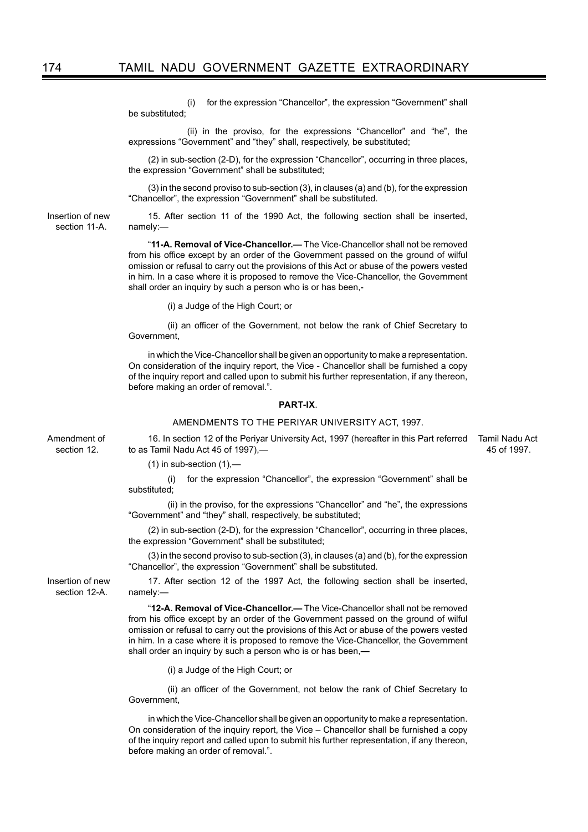(i) for the expression "Chancellor", the expression "Government" shall be substituted;

 (ii) in the proviso, for the expressions "Chancellor" and "he", the expressions "Government" and "they" shall, respectively, be substituted;

(2) in sub-section (2-D), for the expression "Chancellor", occurring in three places, the expression "Government" shall be substituted;

(3) in the second proviso to sub-section (3), in clauses (a) and (b), for the expression "Chancellor", the expression "Government" shall be substituted.

15. After section 11 of the 1990 Act, the following section shall be inserted, namely:—

"**11-A. Removal of Vice-Chancellor.—** The Vice-Chancellor shall not be removed from his office except by an order of the Government passed on the ground of wilful omission or refusal to carry out the provisions of this Act or abuse of the powers vested in him. In a case where it is proposed to remove the Vice-Chancellor, the Government shall order an inquiry by such a person who is or has been,-

(i) a Judge of the High Court; or

(ii) an officer of the Government, not below the rank of Chief Secretary to Government,

in which the Vice-Chancellor shall be given an opportunity to make a representation. On consideration of the inquiry report, the Vice - Chancellor shall be furnished a copy of the inquiry report and called upon to submit his further representation, if any thereon, before making an order of removal.".

#### **PART-IX**.

#### AMENDMENTS TO THE PERIYAR UNIVERSITY ACT, 1997.

Amendment of section 12.

Insertion of new section 11-A.

> 16. In section 12 of the Periyar University Act, 1997 (hereafter in this Part referred Tamil Nadu Act to as Tamil Nadu Act 45 of 1997),— 45 of 1997.

 $(1)$  in sub-section  $(1)$ ,—

(i) for the expression "Chancellor", the expression "Government" shall be substituted;

(ii) in the proviso, for the expressions "Chancellor" and "he", the expressions "Government" and "they" shall, respectively, be substituted;

(2) in sub-section (2-D), for the expression "Chancellor", occurring in three places, the expression "Government" shall be substituted;

(3) in the second proviso to sub-section (3), in clauses (a) and (b), for the expression "Chancellor", the expression "Government" shall be substituted.

17. After section 12 of the 1997 Act, the following section shall be inserted, namely:—

"**12-A. Removal of Vice-Chancellor.—** The Vice-Chancellor shall not be removed from his office except by an order of the Government passed on the ground of wilful omission or refusal to carry out the provisions of this Act or abuse of the powers vested in him. In a case where it is proposed to remove the Vice-Chancellor, the Government shall order an inquiry by such a person who is or has been,**—**

(i) a Judge of the High Court; or

(ii) an officer of the Government, not below the rank of Chief Secretary to Government,

in which the Vice-Chancellor shall be given an opportunity to make a representation. On consideration of the inquiry report, the Vice – Chancellor shall be furnished a copy of the inquiry report and called upon to submit his further representation, if any thereon, before making an order of removal.".

Insertion of new section 12-A.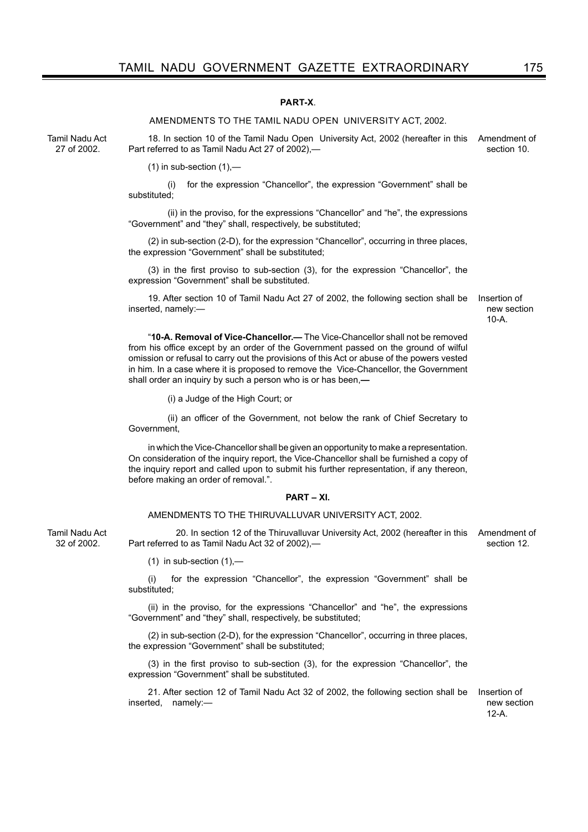### **PART-X**.

#### AMENDMENTS TO THE TAMIL NADU OPEN UNIVERSITY ACT, 2002.

Tamil Nadu Act 27 of 2002.

Tamil Nadu Act 32 of 2002.

18. In section 10 of the Tamil Nadu Open University Act, 2002 (hereafter in this Amendment of Part referred to as Tamil Nadu Act 27 of 2002), section 10.

(1) in sub-section  $(1)$ ,-

(i) for the expression "Chancellor", the expression "Government" shall be substituted:

(ii) in the proviso, for the expressions "Chancellor" and "he", the expressions "Government" and "they" shall, respectively, be substituted;

(2) in sub-section (2-D), for the expression "Chancellor", occurring in three places, the expression "Government" shall be substituted;

(3) in the first proviso to sub-section (3), for the expression "Chancellor", the expression "Government" shall be substituted.

19. After section 10 of Tamil Nadu Act 27 of 2002, the following section shall be inserted, namely:—

"**10-A. Removal of Vice-Chancellor.—** The Vice-Chancellor shall not be removed from his office except by an order of the Government passed on the ground of wilful omission or refusal to carry out the provisions of this Act or abuse of the powers vested in him. In a case where it is proposed to remove the Vice-Chancellor, the Government shall order an inquiry by such a person who is or has been,**—**

(i) a Judge of the High Court; or

(ii) an officer of the Government, not below the rank of Chief Secretary to Government,

in which the Vice-Chancellor shall be given an opportunity to make a representation. On consideration of the inquiry report, the Vice-Chancellor shall be furnished a copy of the inquiry report and called upon to submit his further representation, if any thereon, before making an order of removal.".

#### **PART – XI.**

#### AMENDMENTS TO THE THIRUVALLUVAR UNIVERSITY ACT, 2002.

 20. In section 12 of the Thiruvalluvar University Act, 2002 (hereafter in this Amendment of Part referred to as Tamil Nadu Act 32 of 2002),—

(1) in sub-section  $(1)$ ,—

(i) for the expression "Chancellor", the expression "Government" shall be substituted;

(ii) in the proviso, for the expressions "Chancellor" and "he", the expressions "Government" and "they" shall, respectively, be substituted;

(2) in sub-section (2-D), for the expression "Chancellor", occurring in three places, the expression "Government" shall be substituted;

(3) in the first proviso to sub-section (3), for the expression "Chancellor", the expression "Government" shall be substituted.

21. After section 12 of Tamil Nadu Act 32 of 2002, the following section shall be inserted, namely:—

Insertion of new section 12-A.

Insertion of new section  $10-A$ 

section 12.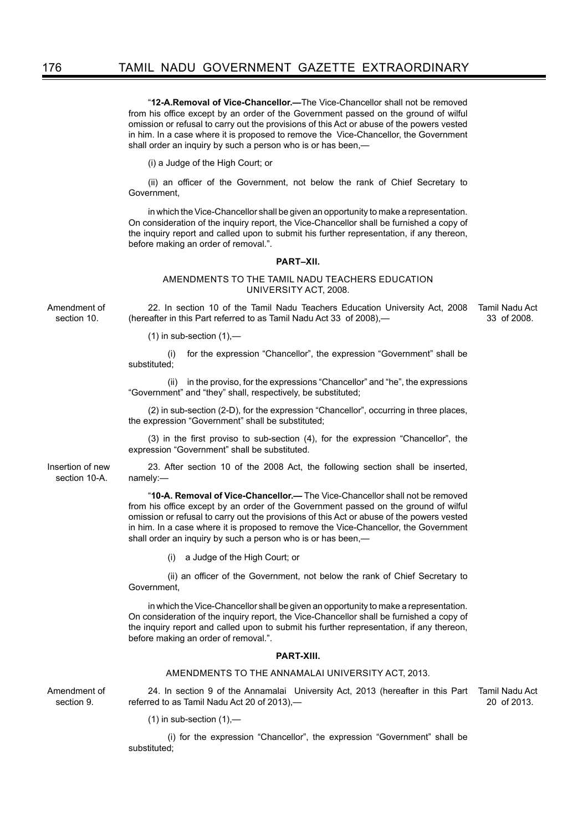"**12-A.Removal of Vice-Chancellor.—**The Vice-Chancellor shall not be removed from his office except by an order of the Government passed on the ground of wilful omission or refusal to carry out the provisions of this Act or abuse of the powers vested in him. In a case where it is proposed to remove the Vice-Chancellor, the Government shall order an inquiry by such a person who is or has been,—

(i) a Judge of the High Court; or

(ii) an officer of the Government, not below the rank of Chief Secretary to Government,

in which the Vice-Chancellor shall be given an opportunity to make a representation. On consideration of the inquiry report, the Vice-Chancellor shall be furnished a copy of the inquiry report and called upon to submit his further representation, if any thereon, before making an order of removal.".

#### **PART–XII.**

AMENDMENTS TO THE TAMIL NADU TEACHERS EDUCATION UNIVERSITY ACT, 2008.

Amendment of section 10.

Insertion of new section 10-A.

22. In section 10 of the Tamil Nadu Teachers Education University Act, 2008 (hereafter in this Part referred to as Tamil Nadu Act 33 of 2008),— Tamil Nadu Act 33 of 2008.

(1) in sub-section  $(1)$ , $-$ 

(i) for the expression "Chancellor", the expression "Government" shall be substituted;

(ii) in the proviso, for the expressions "Chancellor" and "he", the expressions "Government" and "they" shall, respectively, be substituted;

(2) in sub-section (2-D), for the expression "Chancellor", occurring in three places, the expression "Government" shall be substituted;

(3) in the first proviso to sub-section (4), for the expression "Chancellor", the expression "Government" shall be substituted.

23. After section 10 of the 2008 Act, the following section shall be inserted, namely:—

"**10-A. Removal of Vice-Chancellor.—** The Vice-Chancellor shall not be removed from his office except by an order of the Government passed on the ground of wilful omission or refusal to carry out the provisions of this Act or abuse of the powers vested in him. In a case where it is proposed to remove the Vice-Chancellor, the Government shall order an inquiry by such a person who is or has been,—

(i) a Judge of the High Court; or

(ii) an officer of the Government, not below the rank of Chief Secretary to Government,

in which the Vice-Chancellor shall be given an opportunity to make a representation. On consideration of the inquiry report, the Vice-Chancellor shall be furnished a copy of the inquiry report and called upon to submit his further representation, if any thereon, before making an order of removal.".

#### **PART-XIII.**

#### AMENDMENTS TO THE ANNAMALAI UNIVERSITY ACT, 2013.

Amendment of section 9.

24. In section 9 of the Annamalai University Act, 2013 (hereafter in this Part Tamil Nadu Act referred to as Tamil Nadu Act 20 of 2013),—

20 of 2013.

 $(1)$  in sub-section  $(1)$ ,—

(i) for the expression "Chancellor", the expression "Government" shall be substituted;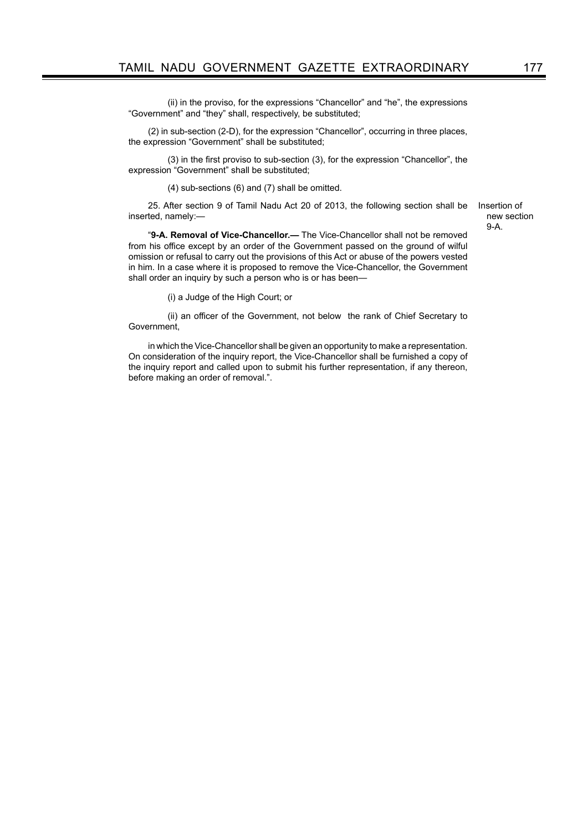(ii) in the proviso, for the expressions "Chancellor" and "he", the expressions "Government" and "they" shall, respectively, be substituted;

(2) in sub-section (2-D), for the expression "Chancellor", occurring in three places, the expression "Government" shall be substituted;

(3) in the first proviso to sub-section (3), for the expression "Chancellor", the expression "Government" shall be substituted;

(4) sub-sections (6) and (7) shall be omitted.

25. After section 9 of Tamil Nadu Act 20 of 2013, the following section shall be inserted, namely:—

Insertion of new section 9-A.

"**9-A. Removal of Vice-Chancellor.—** The Vice-Chancellor shall not be removed from his office except by an order of the Government passed on the ground of wilful omission or refusal to carry out the provisions of this Act or abuse of the powers vested in him. In a case where it is proposed to remove the Vice-Chancellor, the Government shall order an inquiry by such a person who is or has been—

(i) a Judge of the High Court; or

(ii) an officer of the Government, not below the rank of Chief Secretary to Government,

in which the Vice-Chancellor shall be given an opportunity to make a representation. On consideration of the inquiry report, the Vice-Chancellor shall be furnished a copy of the inquiry report and called upon to submit his further representation, if any thereon, before making an order of removal.".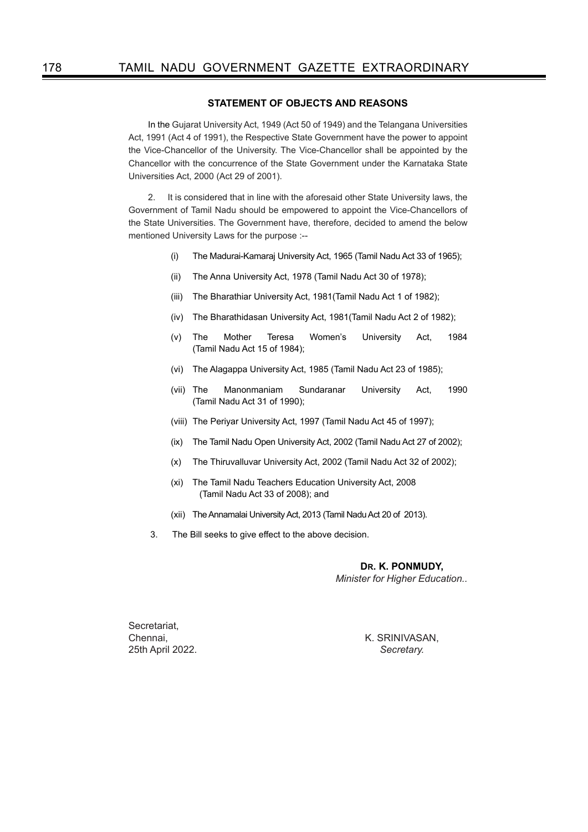# **STATEMENT OF OBJECTS AND REASONS**

In the Gujarat University Act, 1949 (Act 50 of 1949) and the Telangana Universities Act, 1991 (Act 4 of 1991), the Respective State Government have the power to appoint the Vice-Chancellor of the University. The Vice-Chancellor shall be appointed by the Chancellor with the concurrence of the State Government under the Karnataka State Universities Act, 2000 (Act 29 of 2001).

2. It is considered that in line with the aforesaid other State University laws, the Government of Tamil Nadu should be empowered to appoint the Vice-Chancellors of the State Universities. The Government have, therefore, decided to amend the below mentioned University Laws for the purpose :--

- (i) The Madurai-Kamaraj University Act, 1965 (Tamil Nadu Act 33 of 1965);
- (ii) The Anna University Act, 1978 (Tamil Nadu Act 30 of 1978);
- (iii) The Bharathiar University Act, 1981(Tamil Nadu Act 1 of 1982);
- (iv) The Bharathidasan University Act, 1981(Tamil Nadu Act 2 of 1982);
- (v) The Mother Teresa Women's University Act, 1984 (Tamil Nadu Act 15 of 1984);
- (vi) The Alagappa University Act, 1985 (Tamil Nadu Act 23 of 1985);
- (vii) The Manonmaniam Sundaranar University Act, 1990 (Tamil Nadu Act 31 of 1990);
- (viii) The Periyar University Act, 1997 (Tamil Nadu Act 45 of 1997);
- (ix) The Tamil Nadu Open University Act, 2002 (Tamil Nadu Act 27 of 2002);
- (x) The Thiruvalluvar University Act, 2002 (Tamil Nadu Act 32 of 2002);
- (xi) The Tamil Nadu Teachers Education University Act, 2008 (Tamil Nadu Act 33 of 2008); and
- (xii) The Annamalai University Act, 2013 (Tamil Nadu Act 20 of 2013).
- 3. The Bill seeks to give effect to the above decision.

**DR. K. PONMUDY,** *Minister for Higher Education..*

Secretariat, 25th April 2022. *Secretary.*

Chennai, K. SRINIVASAN,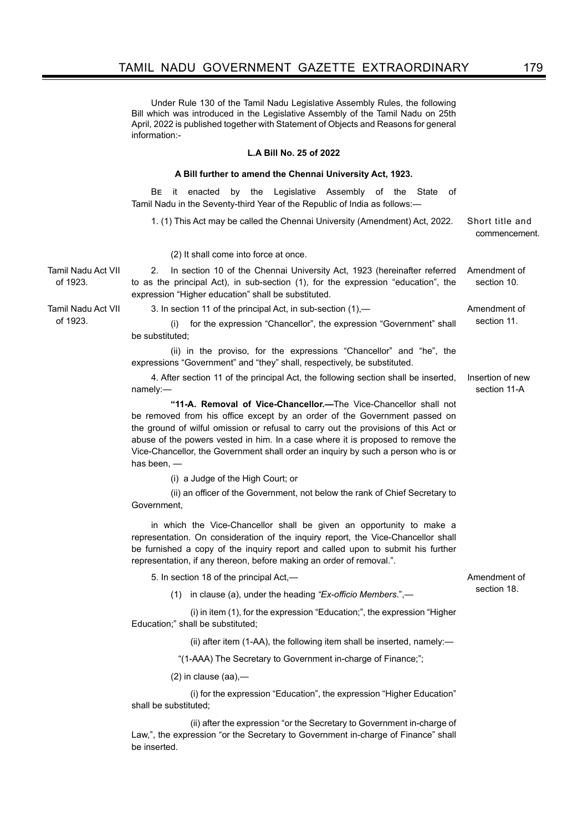Under Rule 130 of the Tamil Nadu Legislative Assembly Rules, the following Bill which was introduced in the Legislative Assembly of the Tamil Nadu on 25th April, 2022 is published together with Statement of Objects and Reasons for general information:-

#### **L.A Bill No. 25 of 2022**

#### **A Bill further to amend the Chennai University Act, 1923.**

Be it enacted by the Legislative Assembly of the State of Tamil Nadu in the Seventy-third Year of the Republic of India as follows:—

1. (1) This Act may be called the Chennai University (Amendment) Act, 2022. Short title and

commencement.

(2) It shall come into force at once.

2. In section 10 of the Chennai University Act, 1923 (hereinafter referred to as the principal Act), in sub-section (1), for the expression "education", the expression "Higher education" shall be substituted. Amendment of section 10.

3. In section 11 of the principal Act, in sub-section (1), — The Amendment of

(i) for the expression "Chancellor", the expression "Government" shall section 11. be substituted;

(ii) in the proviso, for the expressions "Chancellor" and "he", the expressions "Government" and "they" shall, respectively, be substituted.

4. After section 11 of the principal Act, the following section shall be inserted, namely:— Insertion of new section 11-A

**"11-A. Removal of Vice-Chancellor.—**The Vice-Chancellor shall not be removed from his office except by an order of the Government passed on the ground of wilful omission or refusal to carry out the provisions of this Act or abuse of the powers vested in him. In a case where it is proposed to remove the Vice-Chancellor, the Government shall order an inquiry by such a person who is or has been, —

(i) a Judge of the High Court; or

(ii) an officer of the Government, not below the rank of Chief Secretary to Government,

in which the Vice-Chancellor shall be given an opportunity to make a representation. On consideration of the inquiry report, the Vice-Chancellor shall be furnished a copy of the inquiry report and called upon to submit his further representation, if any thereon, before making an order of removal.".

5. In section 18 of the principal Act,—

Amendment of section 18.

(1) in clause (a), under the heading *"Ex-officio Members*.",—

 (i) in item (1), for the expression "Education;", the expression "Higher Education;" shall be substituted;

(ii) after item (1-AA), the following item shall be inserted, namely:—

"(1-AAA) The Secretary to Government in-charge of Finance;";

(2) in clause (aa),—

 (i) for the expression "Education", the expression "Higher Education" shall be substituted;

 (ii) after the expression "or the Secretary to Government in-charge of Law,", the expression "or the Secretary to Government in-charge of Finance" shall be inserted.

Tamil Nadu Act VII of 1923.

Tamil Nadu Act VII

 $of 1923$